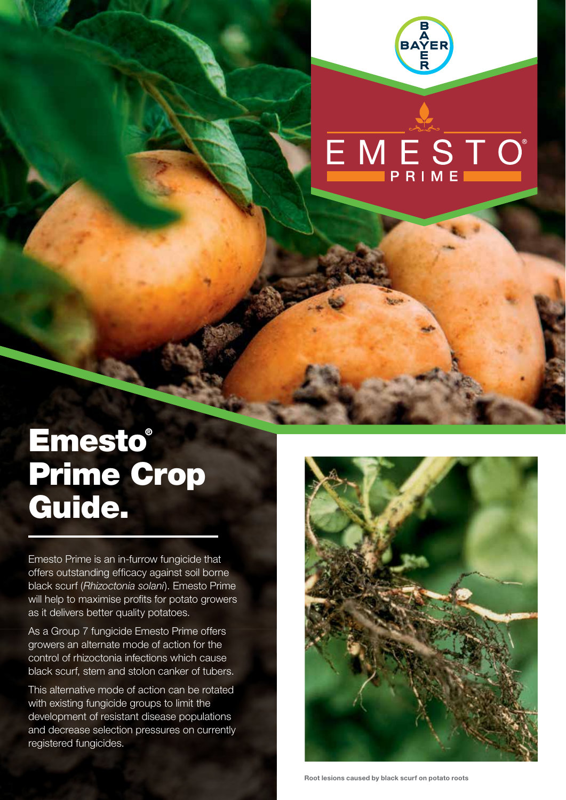

# EMESTO<sup>®</sup>

## **Emesto®** Prime Crop Guide.

Emesto Prime is an in-furrow fungicide that offers outstanding efficacy against soil borne black scurf (*Rhizoctonia solani*). Emesto Prime will help to maximise profits for potato growers as it delivers better quality potatoes.

As a Group 7 fungicide Emesto Prime offers growers an alternate mode of action for the control of rhizoctonia infections which cause black scurf, stem and stolon canker of tubers.

This alternative mode of action can be rotated with existing fungicide groups to limit the development of resistant disease populations and decrease selection pressures on currently registered fungicides.

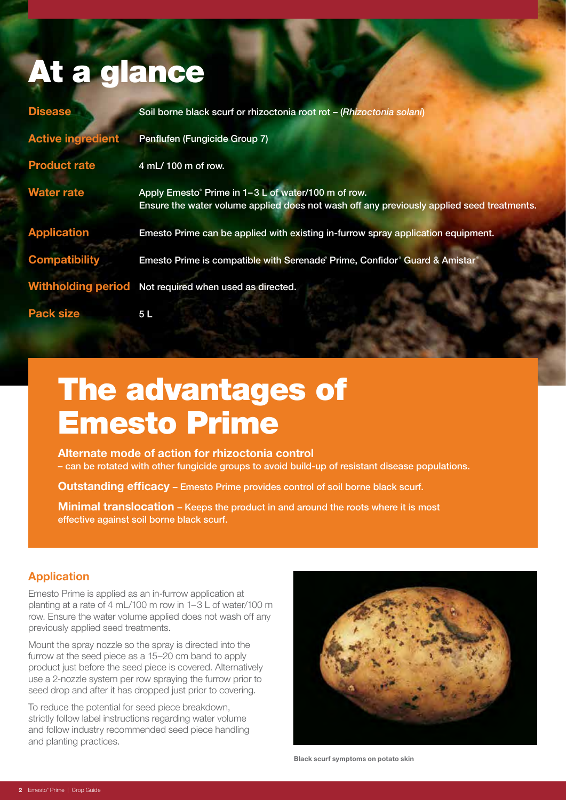### At a glance

| <b>Disease</b>           | Soil borne black scurf or rhizoctonia root rot - (Rhizoctonia solani)                                                                            |
|--------------------------|--------------------------------------------------------------------------------------------------------------------------------------------------|
| <b>Active ingredient</b> | Penflufen (Fungicide Group 7)                                                                                                                    |
| <b>Product rate</b>      | 4 mL/ 100 m of row.                                                                                                                              |
| <b>Water rate</b>        | Apply Emesto® Prime in 1-3 L of water/100 m of row.<br>Ensure the water volume applied does not wash off any previously applied seed treatments. |
| <b>Application</b>       | Emesto Prime can be applied with existing in-furrow spray application equipment.                                                                 |
| <b>Compatibility</b>     | Emesto Prime is compatible with Serenade Prime, Confidor Guard & Amistar®                                                                        |
|                          | Withholding period Not required when used as directed.                                                                                           |
| <b>Pack size</b>         | 5 <sub>L</sub>                                                                                                                                   |

## The advantages of Emesto Prime

**Alternate mode of action for rhizoctonia control**  – can be rotated with other fungicide groups to avoid build-up of resistant disease populations.

**Outstanding efficacy** – Emesto Prime provides control of soil borne black scurf.

**Minimal translocation – Keeps the product in and around the roots where it is most** effective against soil borne black scurf.

### **Application**

Emesto Prime is applied as an in-furrow application at planting at a rate of 4 mL/100 m row in 1–3 L of water/100 m row. Ensure the water volume applied does not wash off any previously applied seed treatments.

Mount the spray nozzle so the spray is directed into the furrow at the seed piece as a 15–20 cm band to apply product just before the seed piece is covered. Alternatively use a 2-nozzle system per row spraying the furrow prior to seed drop and after it has dropped just prior to covering.

To reduce the potential for seed piece breakdown, strictly follow label instructions regarding water volume and follow industry recommended seed piece handling and planting practices.



**Black scurf symptoms on potato skin**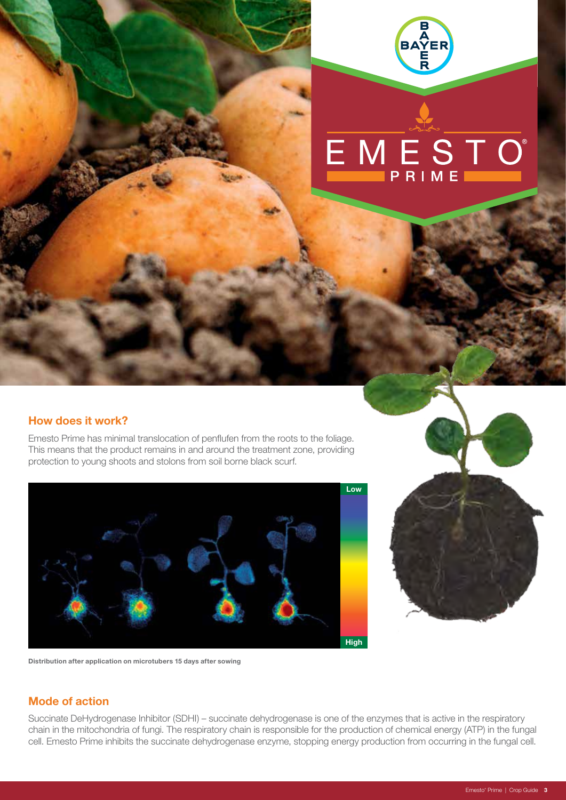

## EMESTO<sup>®</sup>

#### **How does it work?**

Emesto Prime has minimal translocation of penflufen from the roots to the foliage. This means that the product remains in and around the treatment zone, providing protection to young shoots and stolons from soil borne black scurf.





**Distribution after application on microtubers 15 days after sowing**

### **Mode of action**

Succinate DeHydrogenase Inhibitor (SDHI) – succinate dehydrogenase is one of the enzymes that is active in the respiratory chain in the mitochondria of fungi. The respiratory chain is responsible for the production of chemical energy (ATP) in the fungal cell. Emesto Prime inhibits the succinate dehydrogenase enzyme, stopping energy production from occurring in the fungal cell.